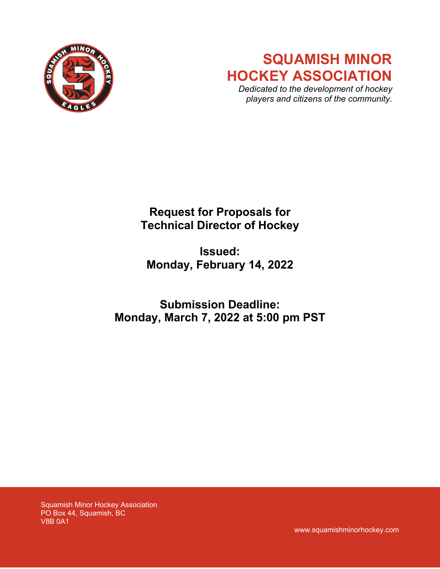

# **SQUAMISH MINOR HOCKEY ASSOCIATION**

*Dedicated to the development of hockey players and citizens of the community.*

## **Request for Proposals for Technical Director of Hockey**

## **Issued: Monday, February 14, 2022**

## **Submission Deadline: Monday, March 7, 2022 at 5:00 pm PST**

Squamish Minor Hockey Association PO Box 44, Squamish, BC V8B 0A1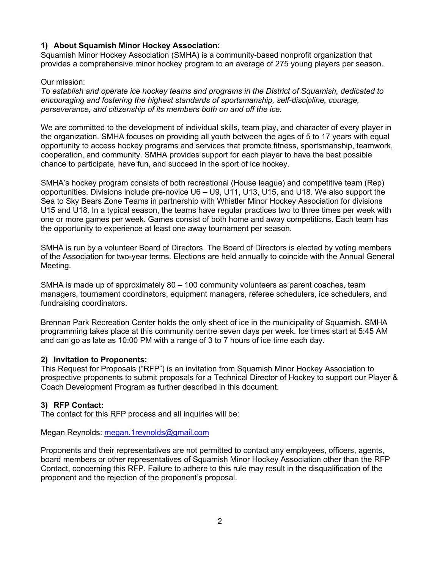## **1) About Squamish Minor Hockey Association:**

Squamish Minor Hockey Association (SMHA) is a community-based nonprofit organization that provides a comprehensive minor hockey program to an average of 275 young players per season.

### Our mission:

*To establish and operate ice hockey teams and programs in the District of Squamish, dedicated to encouraging and fostering the highest standards of sportsmanship, self-discipline, courage, perseverance, and citizenship of its members both on and off the ice.* 

We are committed to the development of individual skills, team play, and character of every player in the organization. SMHA focuses on providing all youth between the ages of 5 to 17 years with equal opportunity to access hockey programs and services that promote fitness, sportsmanship, teamwork, cooperation, and community. SMHA provides support for each player to have the best possible chance to participate, have fun, and succeed in the sport of ice hockey.

SMHA's hockey program consists of both recreational (House league) and competitive team (Rep) opportunities. Divisions include pre-novice U6 – U9, U11, U13, U15, and U18. We also support the Sea to Sky Bears Zone Teams in partnership with Whistler Minor Hockey Association for divisions U15 and U18. In a typical season, the teams have regular practices two to three times per week with one or more games per week. Games consist of both home and away competitions. Each team has the opportunity to experience at least one away tournament per season.

SMHA is run by a volunteer Board of Directors. The Board of Directors is elected by voting members of the Association for two-year terms. Elections are held annually to coincide with the Annual General Meeting.

SMHA is made up of approximately 80 – 100 community volunteers as parent coaches, team managers, tournament coordinators, equipment managers, referee schedulers, ice schedulers, and fundraising coordinators.

Brennan Park Recreation Center holds the only sheet of ice in the municipality of Squamish. SMHA programming takes place at this community centre seven days per week. Ice times start at 5:45 AM and can go as late as 10:00 PM with a range of 3 to 7 hours of ice time each day.

### **2) Invitation to Proponents:**

This Request for Proposals ("RFP") is an invitation from Squamish Minor Hockey Association to prospective proponents to submit proposals for a Technical Director of Hockey to support our Player & Coach Development Program as further described in this document.

### **3) RFP Contact:**

The contact for this RFP process and all inquiries will be:

Megan Reynolds: megan.1reynolds@gmail.com

Proponents and their representatives are not permitted to contact any employees, officers, agents, board members or other representatives of Squamish Minor Hockey Association other than the RFP Contact, concerning this RFP. Failure to adhere to this rule may result in the disqualification of the proponent and the rejection of the proponent's proposal.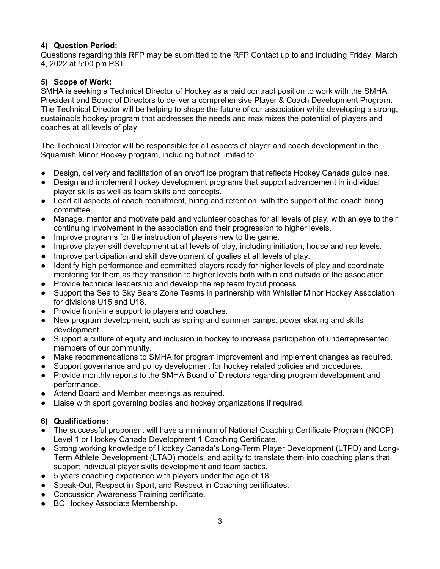## **4) Question Period:**

Questions regarding this RFP may be submitted to the RFP Contact up to and including Friday, March 4, 2022 at 5:00 pm PST.

## **5) Scope of Work:**

SMHA is seeking a Technical Director of Hockey as a paid contract position to work with the SMHA President and Board of Directors to deliver a comprehensive Player & Coach Development Program. The Technical Director will be helping to shape the future of our association while developing a strong, sustainable hockey program that addresses the needs and maximizes the potential of players and coaches at all levels of play.

The Technical Director will be responsible for all aspects of player and coach development in the Squamish Minor Hockey program, including but not limited to:

- Design, delivery and facilitation of an on/off ice program that reflects Hockey Canada guidelines.
- Design and implement hockey development programs that support advancement in individual player skills as well as team skills and concepts.
- Lead all aspects of coach recruitment, hiring and retention, with the support of the coach hiring committee.
- Manage, mentor and motivate paid and volunteer coaches for all levels of play, with an eye to their continuing involvement in the association and their progression to higher levels.
- Improve programs for the instruction of players new to the game.
- Improve player skill development at all levels of play, including initiation, house and rep levels.
- Improve participation and skill development of goalies at all levels of play.
- Identify high performance and committed players ready for higher levels of play and coordinate mentoring for them as they transition to higher levels both within and outside of the association.
- Provide technical leadership and develop the rep team tryout process.
- Support the Sea to Sky Bears Zone Teams in partnership with Whistler Minor Hockey Association for divisions U15 and U18.
- Provide front-line support to players and coaches.
- New program development, such as spring and summer camps, power skating and skills development.
- Support a culture of equity and inclusion in hockey to increase participation of underrepresented members of our community.
- Make recommendations to SMHA for program improvement and implement changes as required.
- Support governance and policy development for hockey related policies and procedures.
- Provide monthly reports to the SMHA Board of Directors regarding program development and performance.
- Attend Board and Member meetings as required.
- Liaise with sport governing bodies and hockey organizations if required.

## **6) Qualifications:**

- The successful proponent will have a minimum of National Coaching Certificate Program (NCCP) Level 1 or Hockey Canada Development 1 Coaching Certificate.
- Strong working knowledge of Hockey Canada's Long-Term Player Development (LTPD) and Long-Term Athlete Development (LTAD) models, and ability to translate them into coaching plans that support individual player skills development and team tactics.
- 5 years coaching experience with players under the age of 18.
- Speak-Out, Respect in Sport, and Respect in Coaching certificates.
- Concussion Awareness Training certificate.
- BC Hockey Associate Membership.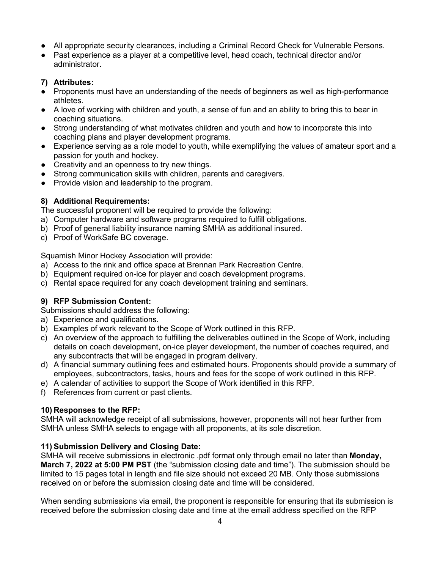- All appropriate security clearances, including a Criminal Record Check for Vulnerable Persons.
- Past experience as a player at a competitive level, head coach, technical director and/or administrator.

## **7) Attributes:**

- Proponents must have an understanding of the needs of beginners as well as high-performance athletes.
- A love of working with children and youth, a sense of fun and an ability to bring this to bear in coaching situations.
- Strong understanding of what motivates children and youth and how to incorporate this into coaching plans and player development programs.
- Experience serving as a role model to youth, while exemplifying the values of amateur sport and a passion for youth and hockey.
- Creativity and an openness to try new things.
- Strong communication skills with children, parents and caregivers.
- Provide vision and leadership to the program.

## **8) Additional Requirements:**

The successful proponent will be required to provide the following:

- a) Computer hardware and software programs required to fulfill obligations.
- b) Proof of general liability insurance naming SMHA as additional insured.
- c) Proof of WorkSafe BC coverage.

Squamish Minor Hockey Association will provide:

- a) Access to the rink and office space at Brennan Park Recreation Centre.
- b) Equipment required on-ice for player and coach development programs.
- c) Rental space required for any coach development training and seminars.

## **9) RFP Submission Content:**

Submissions should address the following:

- a) Experience and qualifications.
- b) Examples of work relevant to the Scope of Work outlined in this RFP.
- c) An overview of the approach to fulfilling the deliverables outlined in the Scope of Work, including details on coach development, on-ice player development, the number of coaches required, and any subcontracts that will be engaged in program delivery.
- d) A financial summary outlining fees and estimated hours. Proponents should provide a summary of employees, subcontractors, tasks, hours and fees for the scope of work outlined in this RFP.
- e) A calendar of activities to support the Scope of Work identified in this RFP.
- f) References from current or past clients.

### **10) Responses to the RFP:**

SMHA will acknowledge receipt of all submissions, however, proponents will not hear further from SMHA unless SMHA selects to engage with all proponents, at its sole discretion.

### **11) Submission Delivery and Closing Date:**

SMHA will receive submissions in electronic .pdf format only through email no later than **Monday, March 7, 2022 at 5:00 PM PST** (the "submission closing date and time"). The submission should be limited to 15 pages total in length and file size should not exceed 20 MB. Only those submissions received on or before the submission closing date and time will be considered.

When sending submissions via email, the proponent is responsible for ensuring that its submission is received before the submission closing date and time at the email address specified on the RFP